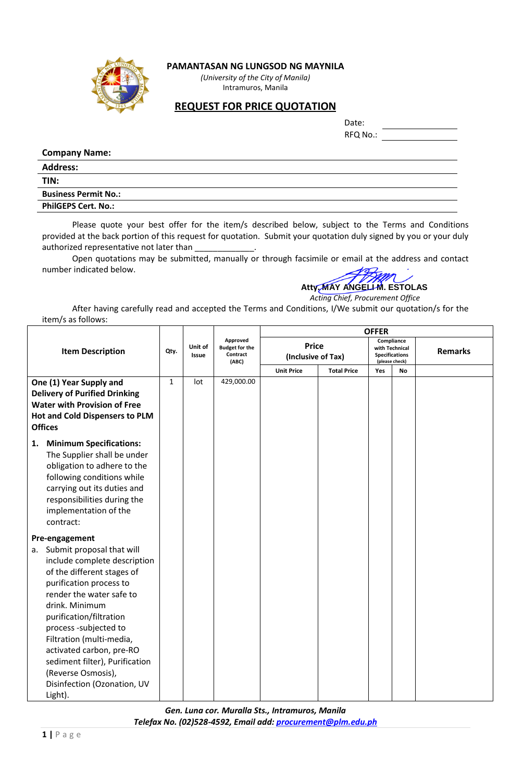

## **PAMANTASAN NG LUNGSOD NG MAYNILA**

*(University of the City of Manila)* Intramuros, Manila

## **REQUEST FOR PRICE QUOTATION**

Date:

RFQ No.:

## **Company Name:**

| <b>Address:</b>             |  |
|-----------------------------|--|
| TIN:                        |  |
| <b>Business Permit No.:</b> |  |
| <b>PhilGEPS Cert. No.:</b>  |  |

Please quote your best offer for the item/s described below, subject to the Terms and Conditions provided at the back portion of this request for quotation. Submit your quotation duly signed by you or your duly authorized representative not later than

Open quotations may be submitted, manually or through facsimile or email at the address and contact number indicated below.

## **Atty. MAY ANGELI M. ESTOLAS**

 *Acting Chief, Procurement Office*

After having carefully read and accepted the Terms and Conditions, I/We submit our quotation/s for the item/s as follows:

|    |                                                                                                                                                                                                                                                                                                                                                        |              |                                  |                                               | <b>OFFER</b>                       |                    |                                                                         |    |                |
|----|--------------------------------------------------------------------------------------------------------------------------------------------------------------------------------------------------------------------------------------------------------------------------------------------------------------------------------------------------------|--------------|----------------------------------|-----------------------------------------------|------------------------------------|--------------------|-------------------------------------------------------------------------|----|----------------|
|    | <b>Item Description</b>                                                                                                                                                                                                                                                                                                                                |              | Unit of<br><b>Issue</b><br>(ABC) | Approved<br><b>Budget for the</b><br>Contract | <b>Price</b><br>(Inclusive of Tax) |                    | Compliance<br>with Technical<br><b>Specifications</b><br>(please check) |    | <b>Remarks</b> |
|    |                                                                                                                                                                                                                                                                                                                                                        |              |                                  |                                               | <b>Unit Price</b>                  | <b>Total Price</b> | Yes                                                                     | No |                |
|    | One (1) Year Supply and                                                                                                                                                                                                                                                                                                                                | $\mathbf{1}$ | lot                              | 429,000.00                                    |                                    |                    |                                                                         |    |                |
|    | <b>Delivery of Purified Drinking</b>                                                                                                                                                                                                                                                                                                                   |              |                                  |                                               |                                    |                    |                                                                         |    |                |
|    | <b>Water with Provision of Free</b>                                                                                                                                                                                                                                                                                                                    |              |                                  |                                               |                                    |                    |                                                                         |    |                |
|    | <b>Hot and Cold Dispensers to PLM</b>                                                                                                                                                                                                                                                                                                                  |              |                                  |                                               |                                    |                    |                                                                         |    |                |
|    | <b>Offices</b>                                                                                                                                                                                                                                                                                                                                         |              |                                  |                                               |                                    |                    |                                                                         |    |                |
| 1. | <b>Minimum Specifications:</b><br>The Supplier shall be under<br>obligation to adhere to the<br>following conditions while<br>carrying out its duties and<br>responsibilities during the<br>implementation of the<br>contract:                                                                                                                         |              |                                  |                                               |                                    |                    |                                                                         |    |                |
| а. | Pre-engagement<br>Submit proposal that will<br>include complete description<br>of the different stages of<br>purification process to<br>render the water safe to<br>drink. Minimum<br>purification/filtration<br>process -subjected to<br>Filtration (multi-media,<br>activated carbon, pre-RO<br>sediment filter), Purification<br>(Reverse Osmosis), |              |                                  |                                               |                                    |                    |                                                                         |    |                |
|    | Disinfection (Ozonation, UV<br>Light).                                                                                                                                                                                                                                                                                                                 |              |                                  |                                               |                                    |                    |                                                                         |    |                |

*Gen. Luna cor. Muralla Sts., Intramuros, Manila Telefax No. (02)528-4592, Email add: [procurement@plm.edu.ph](mailto:procurement@plm.edu.ph)*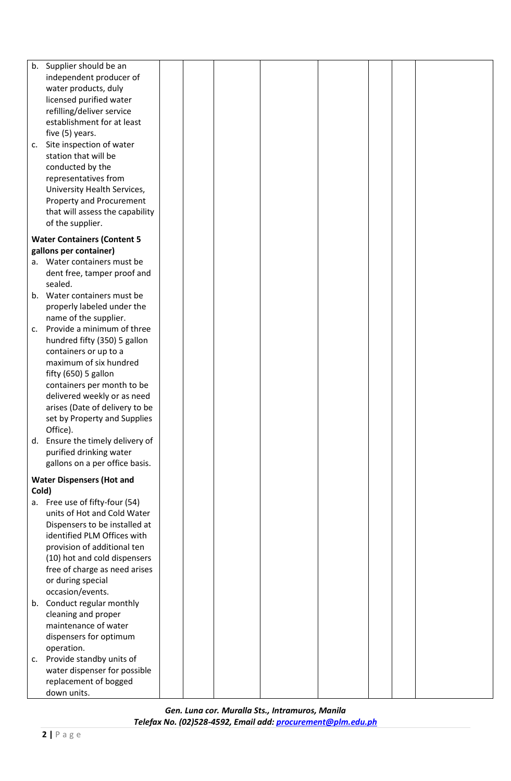| b.             | Supplier should be an                 |  |  |  |  |
|----------------|---------------------------------------|--|--|--|--|
|                | independent producer of               |  |  |  |  |
|                | water products, duly                  |  |  |  |  |
|                | licensed purified water               |  |  |  |  |
|                | refilling/deliver service             |  |  |  |  |
|                | establishment for at least            |  |  |  |  |
|                | five (5) years.                       |  |  |  |  |
| c.             | Site inspection of water              |  |  |  |  |
|                | station that will be                  |  |  |  |  |
|                | conducted by the                      |  |  |  |  |
|                | representatives from                  |  |  |  |  |
|                | University Health Services,           |  |  |  |  |
|                | <b>Property and Procurement</b>       |  |  |  |  |
|                | that will assess the capability       |  |  |  |  |
|                | of the supplier.                      |  |  |  |  |
|                | <b>Water Containers (Content 5</b>    |  |  |  |  |
|                | gallons per container)                |  |  |  |  |
|                | a. Water containers must be           |  |  |  |  |
|                | dent free, tamper proof and           |  |  |  |  |
|                | sealed.                               |  |  |  |  |
|                | b. Water containers must be           |  |  |  |  |
|                | properly labeled under the            |  |  |  |  |
|                | name of the supplier.                 |  |  |  |  |
| C <sub>1</sub> | Provide a minimum of three            |  |  |  |  |
|                | hundred fifty (350) 5 gallon          |  |  |  |  |
|                | containers or up to a                 |  |  |  |  |
|                | maximum of six hundred                |  |  |  |  |
|                | fifty $(650)$ 5 gallon                |  |  |  |  |
|                | containers per month to be            |  |  |  |  |
|                | delivered weekly or as need           |  |  |  |  |
|                | arises (Date of delivery to be        |  |  |  |  |
|                | set by Property and Supplies          |  |  |  |  |
|                | Office).                              |  |  |  |  |
|                | d. Ensure the timely delivery of      |  |  |  |  |
|                | purified drinking water               |  |  |  |  |
|                | gallons on a per office basis.        |  |  |  |  |
|                | <b>Water Dispensers (Hot and</b>      |  |  |  |  |
| Cold)          |                                       |  |  |  |  |
|                | a. Free use of fifty-four (54)        |  |  |  |  |
|                | units of Hot and Cold Water           |  |  |  |  |
|                | Dispensers to be installed at         |  |  |  |  |
|                | identified PLM Offices with           |  |  |  |  |
|                | provision of additional ten           |  |  |  |  |
|                | (10) hot and cold dispensers          |  |  |  |  |
|                | free of charge as need arises         |  |  |  |  |
|                | or during special<br>occasion/events. |  |  |  |  |
|                | Conduct regular monthly               |  |  |  |  |
| b.             | cleaning and proper                   |  |  |  |  |
|                | maintenance of water                  |  |  |  |  |
|                | dispensers for optimum                |  |  |  |  |
|                | operation.                            |  |  |  |  |
| c.             | Provide standby units of              |  |  |  |  |
|                | water dispenser for possible          |  |  |  |  |
|                | replacement of bogged                 |  |  |  |  |
|                | down units.                           |  |  |  |  |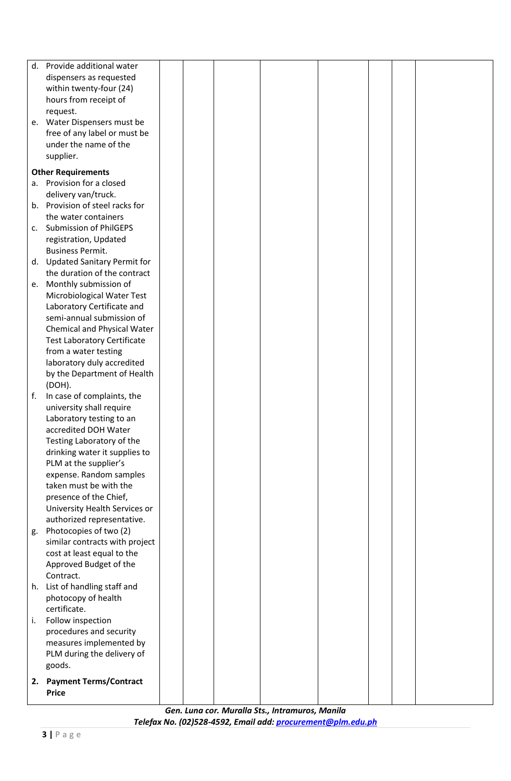| d. | Provide additional water                          |  |  |  |  |
|----|---------------------------------------------------|--|--|--|--|
|    | dispensers as requested                           |  |  |  |  |
|    | within twenty-four (24)                           |  |  |  |  |
|    | hours from receipt of                             |  |  |  |  |
|    | request.                                          |  |  |  |  |
|    | e. Water Dispensers must be                       |  |  |  |  |
|    | free of any label or must be                      |  |  |  |  |
|    | under the name of the                             |  |  |  |  |
|    | supplier.                                         |  |  |  |  |
|    | <b>Other Requirements</b>                         |  |  |  |  |
|    | a. Provision for a closed                         |  |  |  |  |
|    | delivery van/truck.                               |  |  |  |  |
|    | b. Provision of steel racks for                   |  |  |  |  |
|    | the water containers                              |  |  |  |  |
|    | c. Submission of PhilGEPS                         |  |  |  |  |
|    | registration, Updated                             |  |  |  |  |
|    | <b>Business Permit.</b>                           |  |  |  |  |
|    | d. Updated Sanitary Permit for                    |  |  |  |  |
|    | the duration of the contract                      |  |  |  |  |
|    | e. Monthly submission of                          |  |  |  |  |
|    | Microbiological Water Test                        |  |  |  |  |
|    | Laboratory Certificate and                        |  |  |  |  |
|    | semi-annual submission of                         |  |  |  |  |
|    | Chemical and Physical Water                       |  |  |  |  |
|    | <b>Test Laboratory Certificate</b>                |  |  |  |  |
|    | from a water testing                              |  |  |  |  |
|    | laboratory duly accredited                        |  |  |  |  |
|    | by the Department of Health                       |  |  |  |  |
|    | (DOH).                                            |  |  |  |  |
| f. | In case of complaints, the                        |  |  |  |  |
|    | university shall require                          |  |  |  |  |
|    | Laboratory testing to an                          |  |  |  |  |
|    | accredited DOH Water                              |  |  |  |  |
|    | Testing Laboratory of the                         |  |  |  |  |
|    | drinking water it supplies to                     |  |  |  |  |
|    | PLM at the supplier's                             |  |  |  |  |
|    | expense. Random samples<br>taken must be with the |  |  |  |  |
|    | presence of the Chief,                            |  |  |  |  |
|    | University Health Services or                     |  |  |  |  |
|    | authorized representative.                        |  |  |  |  |
| g. | Photocopies of two (2)                            |  |  |  |  |
|    | similar contracts with project                    |  |  |  |  |
|    | cost at least equal to the                        |  |  |  |  |
|    | Approved Budget of the                            |  |  |  |  |
|    | Contract.                                         |  |  |  |  |
|    | h. List of handling staff and                     |  |  |  |  |
|    | photocopy of health                               |  |  |  |  |
|    | certificate.                                      |  |  |  |  |
| i. | Follow inspection                                 |  |  |  |  |
|    | procedures and security                           |  |  |  |  |
|    | measures implemented by                           |  |  |  |  |
|    | PLM during the delivery of                        |  |  |  |  |
|    | goods.                                            |  |  |  |  |
|    | 2. Payment Terms/Contract                         |  |  |  |  |
|    | <b>Price</b>                                      |  |  |  |  |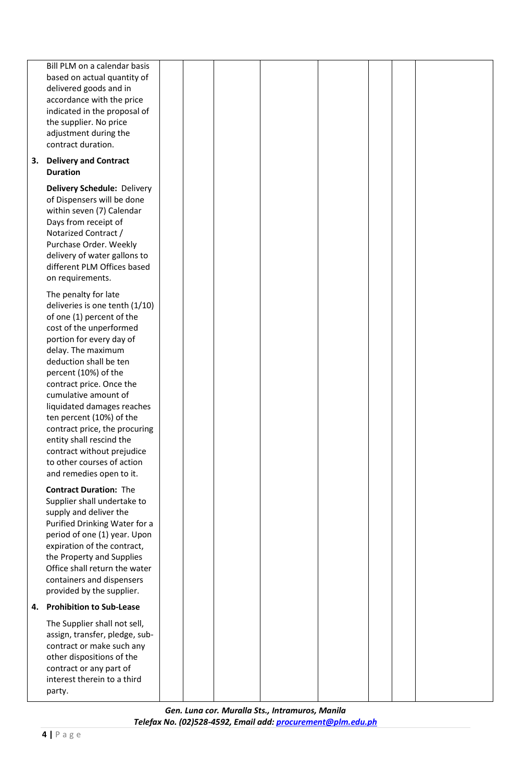|    | Bill PLM on a calendar basis<br>based on actual quantity of<br>delivered goods and in<br>accordance with the price<br>indicated in the proposal of<br>the supplier. No price<br>adjustment during the<br>contract duration.                                                                                                                                                                                                                                                           |  |  |  |  |
|----|---------------------------------------------------------------------------------------------------------------------------------------------------------------------------------------------------------------------------------------------------------------------------------------------------------------------------------------------------------------------------------------------------------------------------------------------------------------------------------------|--|--|--|--|
| 3. | <b>Delivery and Contract</b><br><b>Duration</b>                                                                                                                                                                                                                                                                                                                                                                                                                                       |  |  |  |  |
|    | <b>Delivery Schedule: Delivery</b><br>of Dispensers will be done<br>within seven (7) Calendar<br>Days from receipt of<br>Notarized Contract /<br>Purchase Order. Weekly<br>delivery of water gallons to<br>different PLM Offices based<br>on requirements.                                                                                                                                                                                                                            |  |  |  |  |
|    | The penalty for late<br>deliveries is one tenth (1/10)<br>of one (1) percent of the<br>cost of the unperformed<br>portion for every day of<br>delay. The maximum<br>deduction shall be ten<br>percent (10%) of the<br>contract price. Once the<br>cumulative amount of<br>liquidated damages reaches<br>ten percent (10%) of the<br>contract price, the procuring<br>entity shall rescind the<br>contract without prejudice<br>to other courses of action<br>and remedies open to it. |  |  |  |  |
|    | <b>Contract Duration: The</b><br>Supplier shall undertake to<br>supply and deliver the<br>Purified Drinking Water for a<br>period of one (1) year. Upon<br>expiration of the contract,<br>the Property and Supplies<br>Office shall return the water<br>containers and dispensers<br>provided by the supplier.                                                                                                                                                                        |  |  |  |  |
| 4. | <b>Prohibition to Sub-Lease</b>                                                                                                                                                                                                                                                                                                                                                                                                                                                       |  |  |  |  |
|    | The Supplier shall not sell,<br>assign, transfer, pledge, sub-<br>contract or make such any<br>other dispositions of the<br>contract or any part of<br>interest therein to a third<br>party.                                                                                                                                                                                                                                                                                          |  |  |  |  |